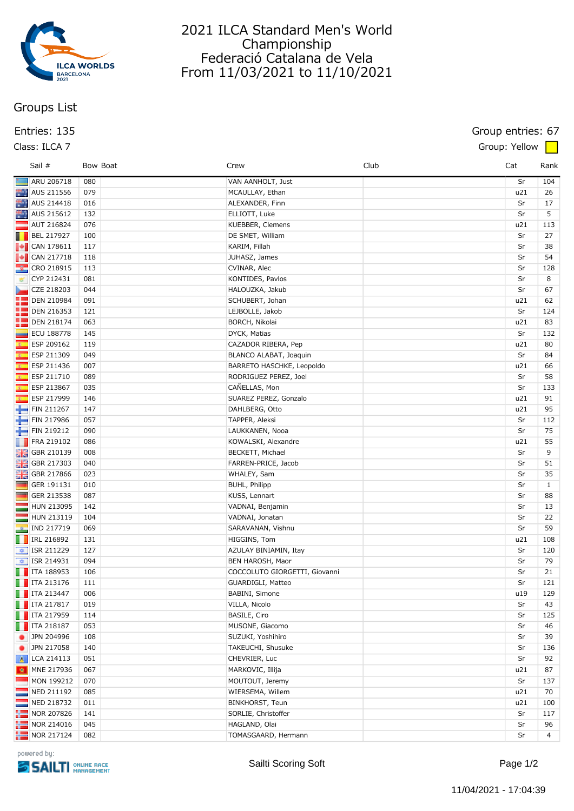

# 2021 ILCA Standard Men's World Championship Federació Catalana de Vela From 11/03/2021 to 11/10/2021

# **Groups List**

### **Class: ILCA 7 Group: Yellow**

## **Entries: 135 Group entries: 67**

| Sail #                                                                                   | Bow Boat | Crew                          | Club | Cat | Rank           |
|------------------------------------------------------------------------------------------|----------|-------------------------------|------|-----|----------------|
| ARU 206718                                                                               | 080      | VAN AANHOLT, Just             |      | Sr  | 104            |
| AUS 211556                                                                               | 079      | MCAULLAY, Ethan               |      | u21 | 26             |
| AUS 214418                                                                               | 016      | ALEXANDER, Finn               |      | Sr  | 17             |
| AUS 215612                                                                               | 132      | ELLIOTT, Luke                 |      | Sr  | 5              |
| $\blacksquare$ AUT 216824                                                                | 076      | KUEBBER, Clemens              |      | u21 | 113            |
| BEL 217927                                                                               | 100      | DE SMET, William              |      | Sr  | 27             |
| $\blacksquare$ CAN 178611                                                                | 117      | KARIM, Fillah                 |      | Sr  | 38             |
| $\begin{array}{ c c c }\n\hline\n\hline\n\hline\n\hline\n\hline\n\end{array}$ CAN 217718 | 118      | JUHASZ, James                 |      | Sr  | 54             |
| <b>CRO 218915</b>                                                                        | 113      | CVINAR, Alec                  |      | Sr  | 128            |
| CYP 212431                                                                               | 081      | KONTIDES, Pavlos              |      | Sr  | 8              |
| CZE 218203                                                                               | 044      | HALOUZKA, Jakub               |      | Sr  | 67             |
| <b>DEN 210984</b>                                                                        | 091      | SCHUBERT, Johan               |      | u21 | 62             |
| <b>DEN 216353</b>                                                                        | 121      | LEJBOLLE, Jakob               |      | Sr  | 124            |
| <b>DEN 218174</b>                                                                        | 063      | BORCH, Nikolai                |      | u21 | 83             |
| ECU 188778                                                                               | 145      | DYCK, Matias                  |      | Sr  | 132            |
| ESP 209162                                                                               | 119      | CAZADOR RIBERA, Pep           |      | u21 | 80             |
| <b>Kill</b><br>ESP 211309                                                                | 049      | BLANCO ALABAT, Joaquin        |      | Sr  | 84             |
| ESP 211436                                                                               | 007      | BARRETO HASCHKE, Leopoldo     |      | u21 | 66             |
| $\overline{\mathbf{x}}$<br>ESP 211710                                                    | 089      | RODRIGUEZ PEREZ, Joel         |      | Sr  | 58             |
| <b>K</b><br>ESP 213867                                                                   | 035      | CAÑELLAS, Mon                 |      | Sr  | 133            |
| ESP 217999                                                                               | 146      | SUAREZ PEREZ, Gonzalo         |      | u21 | 91             |
| FIN 211267                                                                               | 147      | DAHLBERG, Otto                |      | u21 | 95             |
| FIN 217986                                                                               | 057      | TAPPER, Aleksi                |      | Sr  | 112            |
| FIN 219212                                                                               | 090      | LAUKKANEN, Nooa               |      | Sr  | 75             |
| FRA 219102                                                                               | 086      | KOWALSKI, Alexandre           |      | u21 | 55             |
| <b>HE</b> GBR 210139                                                                     | 008      | BECKETT, Michael              |      | Sr  | 9              |
| <b>H</b> GBR 217303                                                                      | 040      | FARREN-PRICE, Jacob           |      | Sr  | 51             |
| GBR 217866                                                                               | 023      | WHALEY, Sam                   |      | Sr  | 35             |
| <b>The Second</b><br>GER 191131                                                          | 010      | BUHL, Philipp                 |      | Sr  | $\mathbf{1}$   |
| <b>The Second</b><br>GER 213538                                                          | 087      | KUSS, Lennart                 |      | Sr  | 88             |
| HUN 213095                                                                               | 142      | VADNAI, Benjamin              |      | Sr  | 13             |
| HUN 213119                                                                               | 104      | VADNAI, Jonatan               |      | Sr  | 22             |
| $\boxed{a}$ IND 217719                                                                   | 069      | SARAVANAN, Vishnu             |      | Sr  | 59             |
| $\Box$ IRL 216892                                                                        | 131      | HIGGINS, Tom                  |      | u21 | 108            |
| $\left  \right $ ISR 211229                                                              | 127      | AZULAY BINIAMIN, Itay         |      | Sr  | 120            |
| $\frac{1}{2}$ ISR 214931                                                                 | 094      | BEN HAROSH, Maor              |      | Sr  | 79             |
| $\begin{array}{ c c } \hline \hline \end{array}$ ITA 188953                              | 106      | COCCOLUTO GIORGETTI, Giovanni |      | Sr  | 21             |
| $\Box$ ITA 213176                                                                        | 111      | GUARDIGLI, Matteo             |      | Sr  | 121            |
| $\Box$ ITA 213447                                                                        | 006      | BABINI, Simone                |      | u19 | 129            |
| $\blacksquare$ ITA 217817                                                                | 019      | VILLA, Nicolo                 |      | Sr  | 43             |
| $\Box$ ITA 217959                                                                        |          | BASILE, Ciro                  |      | Sr  | 125            |
|                                                                                          | 114      |                               |      |     |                |
| $\blacksquare$ ITA 218187                                                                | 053      | MUSONE, Giacomo               |      | Sr  | 46             |
| • JPN 204996                                                                             | 108      | SUZUKI, Yoshihiro             |      | Sr  | 39             |
| JPN 217058                                                                               | 140      | TAKEUCHI, Shusuke             |      | Sr  | 136            |
| A LCA 214113                                                                             | 051      | CHEVRIER, Luc                 |      | Sr  | 92             |
| MNE 217936                                                                               | 067      | MARKOVIC, Illija              |      | u21 | 87             |
| $-MON$ 199212                                                                            | 070      | MOUTOUT, Jeremy               |      | Sr  | 137            |
| NED 211192                                                                               | 085      | WIERSEMA, Willem              |      | u21 | 70             |
| NED 218732<br>m.                                                                         | 011      | BINKHORST, Teun               |      | u21 | 100            |
| NOR 207826                                                                               | 141      | SORLIE, Christoffer           |      | Sr  | 117            |
| $\frac{1}{2}$ NOR 214016                                                                 | 045      | HAGLAND, Olai                 |      | Sr  | 96             |
| NOR 217124                                                                               | 082      | TOMASGAARD, Hermann           |      | Sr  | $\overline{4}$ |